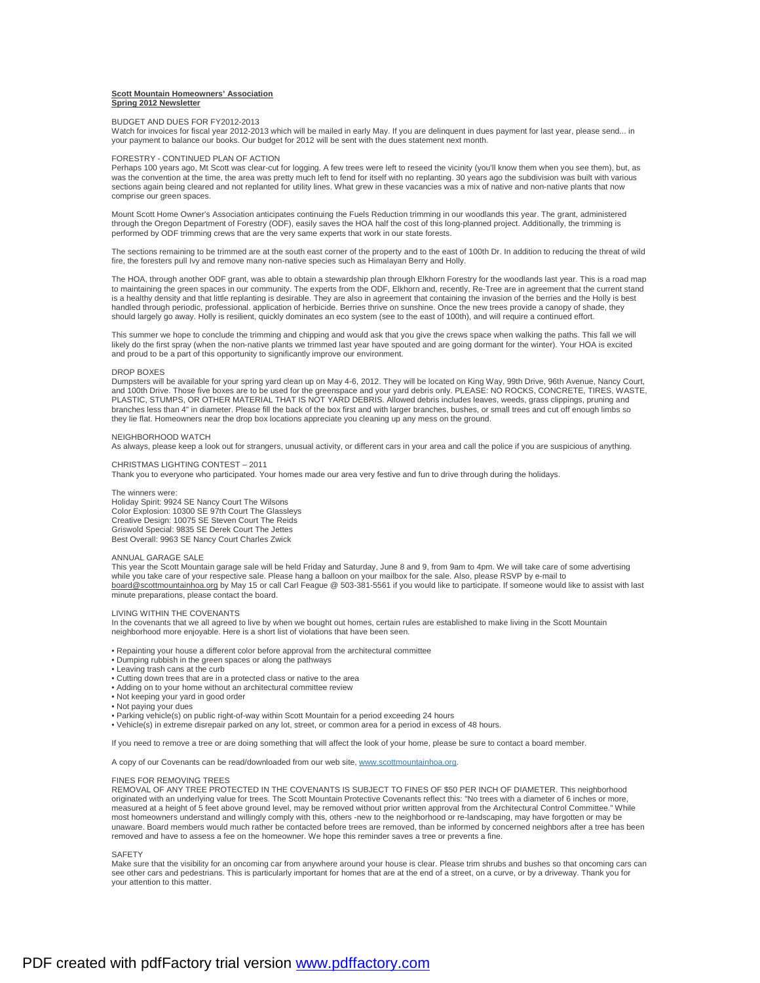## **Scott Mountain Homeowners' Association Spring 2012 Newsletter**

## BUDGET AND DUES FOR FY2012-2013

Watch for invoices for fiscal year 2012-2013 which will be mailed in early May. If you are delinquent in dues payment for last year, please send... in your payment to balance our books. Our budget for 2012 will be sent with the dues statement next month.

#### FORESTRY - CONTINUED PLAN OF ACTION

Perhaps 100 years ago, Mt Scott was clear-cut for logging. A few trees were left to reseed the vicinity (you'll know them when you see them), but, as<br>was the convention at the time, the area was pretty much left to fend fo sections again being cleared and not replanted for utility lines. What grew in these vacancies was a mix of native and non-native plants that now comprise our green spaces.

Mount Scott Home Owner's Association anticipates continuing the Fuels Reduction trimming in our woodlands this year. The grant, administered<br>through the Oregon Department of Forestry (ODF), easily saves the HOA half the co

The sections remaining to be trimmed are at the south east corner of the property and to the east of 100th Dr. In addition to reducing the threat of wild fire, the foresters pull Ivy and remove many non-native species such as Himalayan Berry and Holly.

The HOA, through another ODF grant, was able to obtain a stewardship plan through Elkhorn Forestry for the woodlands last year. This is a road map to maintaining the green spaces in our community. The experts from the ODF, Elkhorn and, recently, Re-Tree are in agreement that the current stand is a healthy density and that little replanting is desirable. They are also in agreement that containing the invasion of the berries and the Holly is best handled through periodic, professional. application of herbicide. Berries thrive on sunshine. Once the new trees provide a canopy of shade, they should largely go away. Holly is resilient, quickly dominates an eco system (see to the east of 100th), and will require a continued effort.

This summer we hope to conclude the trimming and chipping and would ask that you give the crews space when walking the paths. This fall we will likely do the first spray (when the non-native plants we trimmed last year have spouted and are going dormant for the winter). Your HOA is excited and proud to be a part of this opportunity to significantly improve our environment.

## DROP BOXES

Dumpsters will be available for your spring yard clean up on May 4-6, 2012. They will be located on King Way, 99th Drive, 96th Avenue, Nancy Court, and 100th Drive. Those five boxes are to be used for the greenspace and your yard debris only. PLEASE: NO ROCKS, CONCRETE, TIRES, WASTE, PLASTIC, STUMPS, OR OTHER MATERIAL THAT IS NOT YARD DEBRIS. Allowed debris includes leaves, weeds, grass clippings, pruning and branches less than 4" in diameter. Please fill the back of the box first and with larger branches, bushes, or small trees and cut off enough limbs so they lie flat. Homeowners near the drop box locations appreciate you cleaning up any mess on the ground.

# NEIGHBORHOOD WATCH

As always, please keep a look out for strangers, unusual activity, or different cars in your area and call the police if you are suspicious of anything.

# CHRISTMAS LIGHTING CONTEST – 2011

Thank you to everyone who participated. Your homes made our area very festive and fun to drive through during the holidays.

### The winners were:

Holiday Spirit: 9924 SE Nancy Court The Wilsons Color Explosion: 10300 SE 97th Court The Glassleys Creative Design: 10075 SE Steven Court The Reids Griswold Special: 9835 SE Derek Court The Jettes Best Overall: 9963 SE Nancy Court Charles Zwick

## ANNUAL GARAGE SALE

This year the Scott Mountain garage sale will be held Friday and Saturday, June 8 and 9, from 9am to 4pm. We will take care of some advertising while you take care of your respective sale. Please hang a balloon on your mailbox for the sale. Also, please RSVP by e-mail to [board@scottmountainhoa.org](mailto:board@scottmountainhoa.org) by May 15 or call Carl Feague @ 503-381-5561 if you would like to participate. If someone would like to assist with last minute preparations, please contact the board.

## LIVING WITHIN THE COVENANTS

In the covenants that we all agreed to live by when we bought out homes, certain rules are established to make living in the Scott Mountain neighborhood more enjoyable. Here is a short list of violations that have been seen.

- Repainting your house a different color before approval from the architectural committee
- Dumping rubbish in the green spaces or along the pathways
- Leaving trash cans at the curb
- Cutting down trees that are in a protected class or native to the area
- Adding on to your home without an architectural committee review
- Not keeping your yard in good order
- Not paying your dues
- Parking vehicle(s) on public right-of-way within Scott Mountain for a period exceeding 24 hours
- Vehicle(s) in extreme disrepair parked on any lot, street, or common area for a period in excess of 48 hours.

If you need to remove a tree or are doing something that will affect the look of your home, please be sure to contact a board member.

A copy of our Covenants can be read/downloaded from our web site, [www.scottmountainhoa.org.](http://www.scottmountainhoa.org)

#### FINES FOR REMOVING TREES

REMOVAL OF ANY TREE PROTECTED IN THE COVENANTS IS SUBJECT TO FINES OF \$50 PER INCH OF DIAMETER. This neighborhood originated with an underlying value for trees. The Scott Mountain Protective Covenants reflect this: "No trees with a diameter of 6 inches or more, measured at a height of 5 feet above ground level, may be removed without prior written approval from the Architectural Control Committee." While most homeowners understand and willingly comply with this, others -new to the neighborhood or re-landscaping, may have forgotten or may be unaware. Board members would much rather be contacted before trees are removed, than be informed by concerned neighbors after a tree has been removed and have to assess a fee on the homeowner. We hope this reminder saves a tree or prevents a fine.

#### **SAFFTY**

Make sure that the visibility for an oncoming car from anywhere around your house is clear. Please trim shrubs and bushes so that oncoming cars can see other cars and pedestrians. This is particularly important for homes that are at the end of a street, on a curve, or by a driveway. Thank you for your attention to this matter.